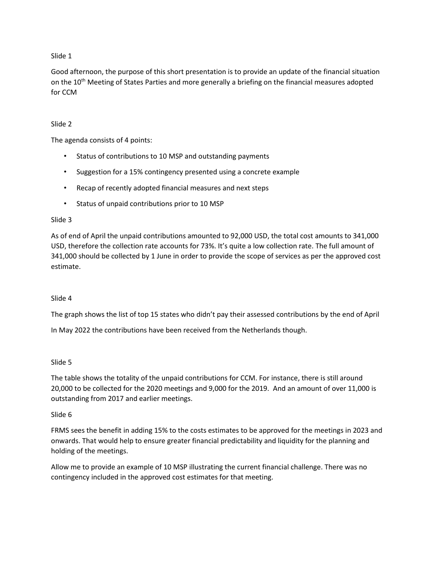## Slide 1

Good afternoon, the purpose of this short presentation is to provide an update of the financial situation on the 10<sup>th</sup> Meeting of States Parties and more generally a briefing on the financial measures adopted for CCM

## Slide 2

The agenda consists of 4 points:

- Status of contributions to 10 MSP and outstanding payments
- Suggestion for a 15% contingency presented using a concrete example
- Recap of recently adopted financial measures and next steps
- Status of unpaid contributions prior to 10 MSP

### Slide 3

As of end of April the unpaid contributions amounted to 92,000 USD, the total cost amounts to 341,000 USD, therefore the collection rate accounts for 73%. It's quite a low collection rate. The full amount of 341,000 should be collected by 1 June in order to provide the scope of services as per the approved cost estimate.

### Slide 4

The graph shows the list of top 15 states who didn't pay their assessed contributions by the end of April

In May 2022 the contributions have been received from the Netherlands though.

### Slide 5

The table shows the totality of the unpaid contributions for CCM. For instance, there is still around 20,000 to be collected for the 2020 meetings and 9,000 for the 2019. And an amount of over 11,000 is outstanding from 2017 and earlier meetings.

### Slide 6

FRMS sees the benefit in adding 15% to the costs estimates to be approved for the meetings in 2023 and onwards. That would help to ensure greater financial predictability and liquidity for the planning and holding of the meetings.

Allow me to provide an example of 10 MSP illustrating the current financial challenge. There was no contingency included in the approved cost estimates for that meeting.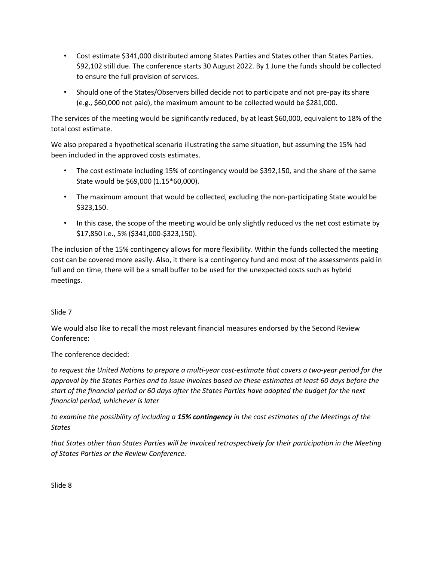- Cost estimate \$341,000 distributed among States Parties and States other than States Parties. \$92,102 still due. The conference starts 30 August 2022. By 1 June the funds should be collected to ensure the full provision of services.
- Should one of the States/Observers billed decide not to participate and not pre-pay its share (e.g., \$60,000 not paid), the maximum amount to be collected would be \$281,000.

The services of the meeting would be significantly reduced, by at least \$60,000, equivalent to 18% of the total cost estimate.

We also prepared a hypothetical scenario illustrating the same situation, but assuming the 15% had been included in the approved costs estimates.

- The cost estimate including 15% of contingency would be \$392,150, and the share of the same State would be \$69,000 (1.15\*60,000).
- The maximum amount that would be collected, excluding the non-participating State would be \$323,150.
- In this case, the scope of the meeting would be only slightly reduced vs the net cost estimate by \$17,850 i.e., 5% (\$341,000-\$323,150).

The inclusion of the 15% contingency allows for more flexibility. Within the funds collected the meeting cost can be covered more easily. Also, it there is a contingency fund and most of the assessments paid in full and on time, there will be a small buffer to be used for the unexpected costs such as hybrid meetings.

# Slide 7

We would also like to recall the most relevant financial measures endorsed by the Second Review Conference:

The conference decided:

*to request the United Nations to prepare a multi-year cost-estimate that covers a two-year period for the approval by the States Parties and to issue invoices based on these estimates at least 60 days before the start of the financial period or 60 days after the States Parties have adopted the budget for the next financial period, whichever is later*

*to examine the possibility of including a 15% contingency in the cost estimates of the Meetings of the States* 

*that States other than States Parties will be invoiced retrospectively for their participation in the Meeting of States Parties or the Review Conference.* 

Slide 8